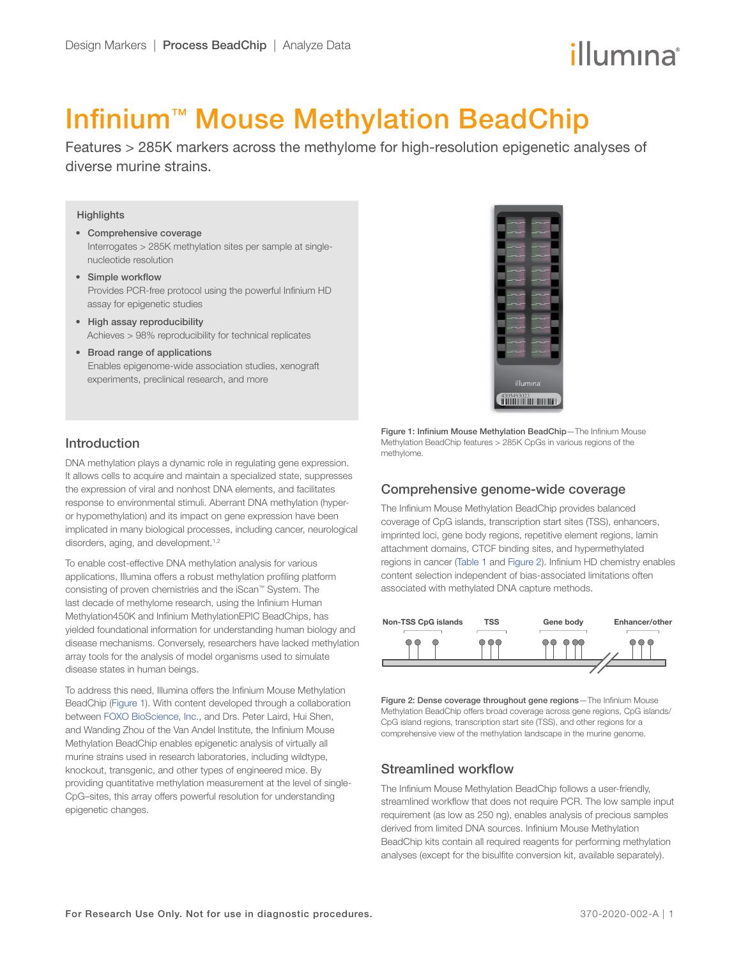# illumına

# Infinium<sup>™</sup> Mouse Methylation BeadChip

Features > 285K markers across the methylome for high-resolution epigenetic analyses of diverse murine strains.

#### **Highlights**

- Comprehensive coverage Interrogates > 285K methylation sites per sample at singlenucleotide resolution
- Simple workflow Provides PCR-free protocol using the powerful Infinium HD assay for epigenetic studies
- High assay reproducibility Achieves > 98% reproducibility for technical replicates
- Broad range of applications Enables epigenome-wide association studies, xenograft experiments, preclinical research, and more



### Introduction

DNA methylation plays a dynamic role in regulating gene expression. It allows cells to acquire and maintain a specialized state, suppresses the expression of viral and nonhost DNA elements, and facilitates response to environmental stimuli. Aberrant DNA methylation (hyperor hypomethylation) and its impact on gene expression have been implicated in many biological processes, including cancer, neurological disorders, aging, and development.<sup>[1](#page-3-0),[2](#page-3-1)</sup>

To enable cost-effective DNA methylation analysis for various applications, Illumina offers a robust methylation profiling platform consisting of proven chemistries and the iScan™ System. The last decade of methylome research, using the Infinium Human Methylation450K and Infinium MethylationEPIC BeadChips, has yielded foundational information for understanding human biology and disease mechanisms. Conversely, researchers have lacked methylation array tools for the analysis of model organisms used to simulate disease states in human beings.

To address this need, Illumina offers the Infinium Mouse Methylation BeadChip [\(Figure 1](#page-0-0)). With content developed through a collaboration between [FOXO BioScience, Inc.](https://foxobioscience.com/), and Drs. Peter Laird, Hui Shen, and Wanding Zhou of the Van Andel Institute, the Infinium Mouse Methylation BeadChip enables epigenetic analysis of virtually all murine strains used in research laboratories, including wildtype, knockout, transgenic, and other types of engineered mice. By providing quantitative methylation measurement at the level of single-CpG–sites, this array offers powerful resolution for understanding epigenetic changes.

<span id="page-0-0"></span>Figure 1: Infinium Mouse Methylation BeadChip—The Infinium Mouse Methylation BeadChip features > 285K CpGs in various regions of the methylome.

#### Comprehensive genome-wide coverage

The Infinium Mouse Methylation BeadChip provides balanced coverage of CpG islands, transcription start sites (TSS), enhancers, imprinted loci, gene body regions, repetitive element regions, lamin attachment domains, CTCF binding sites, and hypermethylated regions in cancer ([Table 1](#page-1-0) and [Figure 2\)](#page-0-1). Infinium HD chemistry enables content selection independent of bias-associated limitations often associated with methylated DNA capture methods.



<span id="page-0-1"></span>Figure 2: Dense coverage throughout gene regions-The Infinium Mouse Methylation BeadChip offers broad coverage across gene regions, CpG islands/ CpG island regions, transcription start site (TSS), and other regions for a comprehensive view of the methylation landscape in the murine genome.

#### Streamlined workflow

The Infinium Mouse Methylation BeadChip follows a user-friendly, streamlined workflow that does not require PCR. The low sample input requirement (as low as 250 ng), enables analysis of precious samples derived from limited DNA sources. Infinium Mouse Methylation BeadChip kits contain all required reagents for performing methylation analyses (except for the bisulfite conversion kit, available separately).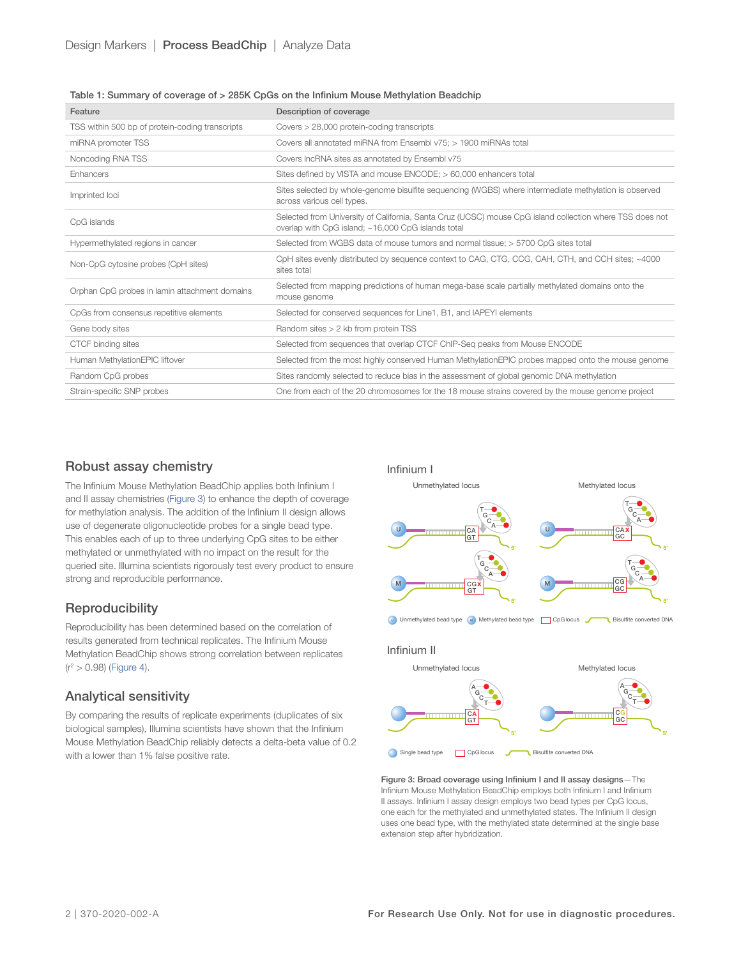#### <span id="page-1-0"></span>Table 1: Summary of coverage of > 285K CpGs on the Infinium Mouse Methylation Beadchip

| Feature                                         | Description of coverage                                                                                                                                        |  |
|-------------------------------------------------|----------------------------------------------------------------------------------------------------------------------------------------------------------------|--|
| TSS within 500 bp of protein-coding transcripts | Covers > 28,000 protein-coding transcripts                                                                                                                     |  |
| miRNA promoter TSS                              | Covers all annotated miRNA from Ensembl v75; > 1900 miRNAs total                                                                                               |  |
| Noncoding RNA TSS                               | Covers IncRNA sites as annotated by Ensembl v75                                                                                                                |  |
| Enhancers                                       | Sites defined by VISTA and mouse ENCODE; > 60,000 enhancers total                                                                                              |  |
| Imprinted loci                                  | Sites selected by whole-genome bisulfite sequencing (WGBS) where intermediate methylation is observed<br>across various cell types.                            |  |
| CpG islands                                     | Selected from University of California, Santa Cruz (UCSC) mouse CpG island collection where TSS does not<br>overlap with CpG island; ~16,000 CpG islands total |  |
| Hypermethylated regions in cancer               | Selected from WGBS data of mouse tumors and normal tissue; > 5700 CpG sites total                                                                              |  |
| Non-CpG cytosine probes (CpH sites)             | CpH sites evenly distributed by sequence context to CAG, CTG, CCG, CAH, CTH, and CCH sites; ~4000<br>sites total                                               |  |
| Orphan CpG probes in lamin attachment domains   | Selected from mapping predictions of human mega-base scale partially methylated domains onto the<br>mouse genome                                               |  |
| CpGs from consensus repetitive elements         | Selected for conserved sequences for Line1, B1, and IAPEYI elements                                                                                            |  |
| Gene body sites                                 | Random sites > 2 kb from protein TSS                                                                                                                           |  |
| CTCF binding sites                              | Selected from sequences that overlap CTCF ChIP-Seq peaks from Mouse ENCODE                                                                                     |  |
| Human MethylationEPIC liftover                  | Selected from the most highly conserved Human MethylationEPIC probes mapped onto the mouse genome                                                              |  |
| Random CpG probes                               | Sites randomly selected to reduce bias in the assessment of global genomic DNA methylation                                                                     |  |
| Strain-specific SNP probes                      | One from each of the 20 chromosomes for the 18 mouse strains covered by the mouse genome project                                                               |  |

#### Robust assay chemistry

The Infinium Mouse Methylation BeadChip applies both Infinium I and II assay chemistries [\(Figure 3\)](#page-1-1) to enhance the depth of coverage for methylation analysis. The addition of the Infinium II design allows use of degenerate oligonucleotide probes for a single bead type. This enables each of up to three underlying CpG sites to be either methylated or unmethylated with no impact on the result for the queried site. Illumina scientists rigorously test every product to ensure strong and reproducible performance.

#### **Reproducibility**

Reproducibility has been determined based on the correlation of results generated from technical replicates. The Infinium Mouse Methylation BeadChip shows strong correlation between replicates  $(r^2 > 0.98)$  ([Figure](#page-2-0) 4).

#### Analytical sensitivity

By comparing the results of replicate experiments (duplicates of six biological samples), Illumina scientists have shown that the Infinium Mouse Methylation BeadChip reliably detects a delta-beta value of 0.2 with a lower than 1% false positive rate.



<span id="page-1-1"></span>Figure 3: Broad coverage using Infinium I and II assay designs—The Infinium Mouse Methylation BeadChip employs both Infinium I and Infinium II assays. Infinium I assay design employs two bead types per CpG locus, one each for the methylated and unmethylated states. The Infinium II design uses one bead type, with the methylated state determined at the single base extension step after hybridization.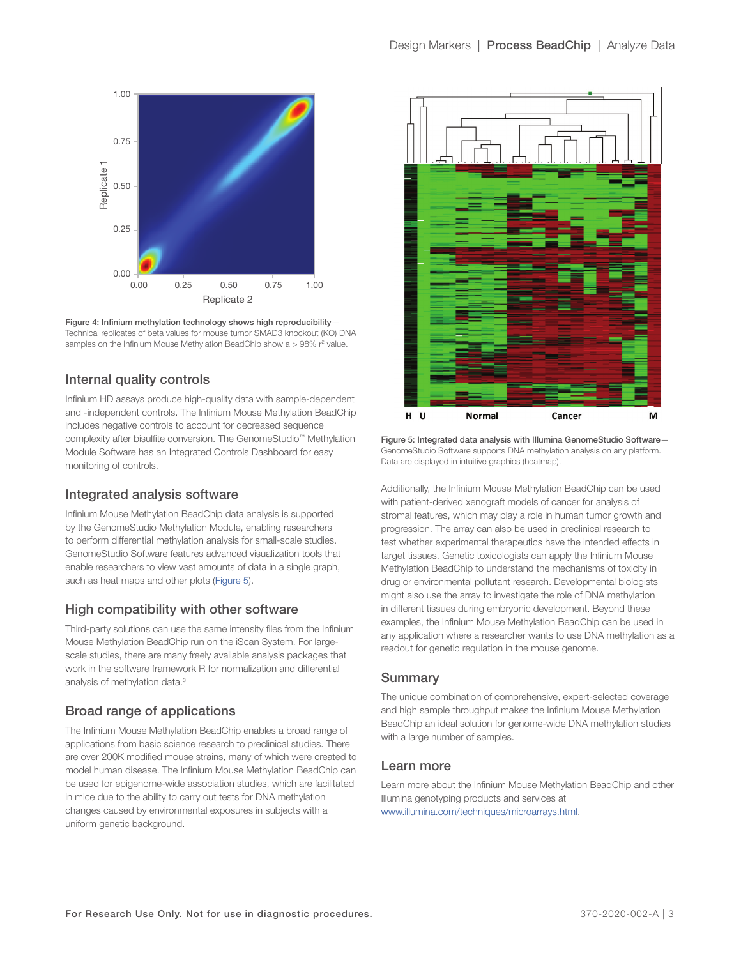<span id="page-2-0"></span>

Figure 4: Infinium methylation technology shows high reproducibility— Technical replicates of beta values for mouse tumor SMAD3 knockout (KO) DNA samples on the Infinium Mouse Methylation BeadChip show  $a > 98\%$   $r^2$  value.

#### Internal quality controls

Infinium HD assays produce high-quality data with sample-dependent and -independent controls. The Infinium Mouse Methylation BeadChip includes negative controls to account for decreased sequence complexity after bisulfite conversion. The GenomeStudio™ Methylation Module Software has an Integrated Controls Dashboard for easy monitoring of controls.

#### Integrated analysis software

Infinium Mouse Methylation BeadChip data analysis is supported by the GenomeStudio Methylation Module, enabling researchers to perform differential methylation analysis for small-scale studies. GenomeStudio Software features advanced visualization tools that enable researchers to view vast amounts of data in a single graph, such as heat maps and other plots ([Figure 5\)](#page-2-1).

#### High compatibility with other software

Third-party solutions can use the same intensity files from the Infinium Mouse Methylation BeadChip run on the iScan System. For largescale studies, there are many freely available analysis packages that work in the software framework R for normalization and differential analysis of methylation data[.3](#page-3-2)

## Broad range of applications

The Infinium Mouse Methylation BeadChip enables a broad range of applications from basic science research to preclinical studies. There are over 200K modified mouse strains, many of which were created to model human disease. The Infinium Mouse Methylation BeadChip can be used for epigenome-wide association studies, which are facilitated in mice due to the ability to carry out tests for DNA methylation changes caused by environmental exposures in subjects with a uniform genetic background.



<span id="page-2-1"></span>Figure 5: Integrated data analysis with Illumina GenomeStudio Software— GenomeStudio Software supports DNA methylation analysis on any platform. Data are displayed in intuitive graphics (heatmap).

Additionally, the Infinium Mouse Methylation BeadChip can be used with patient-derived xenograft models of cancer for analysis of stromal features, which may play a role in human tumor growth and progression. The array can also be used in preclinical research to test whether experimental therapeutics have the intended effects in target tissues. Genetic toxicologists can apply the Infinium Mouse Methylation BeadChip to understand the mechanisms of toxicity in drug or environmental pollutant research. Developmental biologists might also use the array to investigate the role of DNA methylation in different tissues during embryonic development. Beyond these examples, the Infinium Mouse Methylation BeadChip can be used in any application where a researcher wants to use DNA methylation as a readout for genetic regulation in the mouse genome.

#### **Summary**

The unique combination of comprehensive, expert-selected coverage and high sample throughput makes the Infinium Mouse Methylation BeadChip an ideal solution for genome-wide DNA methylation studies with a large number of samples.

#### Learn more

Learn more about the Infinium Mouse Methylation BeadChip and other Illumina genotyping products and services at [www.illumina.com/techniques/microarrays.html](https://www.illumina.com/techniques/microarrays.html).